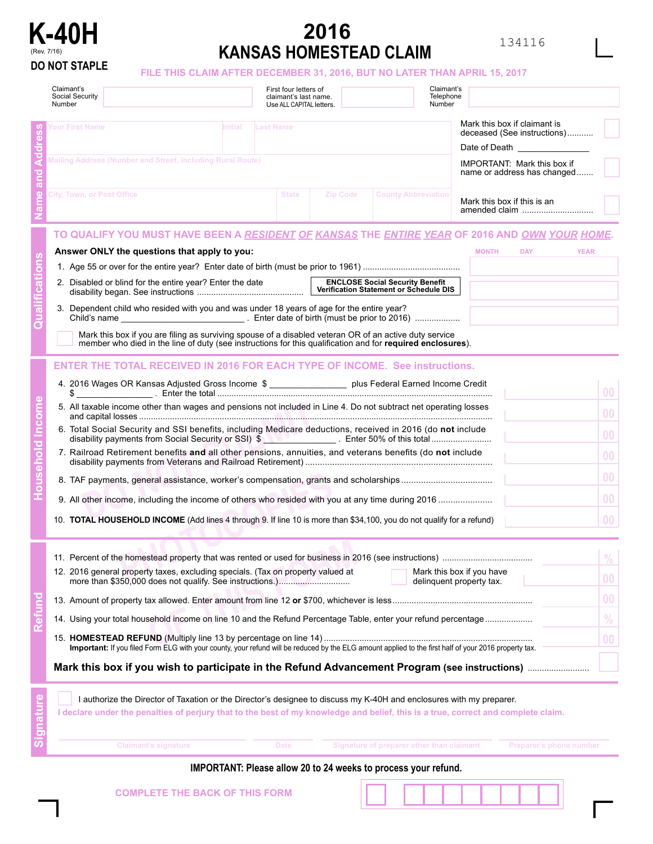

## **K-40H 2016 2016 134116** (Rev. 7/16) **KANSAS HOMESTEAD CLAIM**

## **DO NOT STAPLE FILE THIS CLAIM AFTER DECEMBER 31, 2016, BUT NO LATER THAN APRIL 15, 2017**

| Claimant's<br>Social Security<br>Number                                                                                                                                                                                                                                                                                                                                                                                                                                                                                                                                                                                                                                         |                                                                                                                                                                              | First four letters of<br>claimant's last name.<br>Use ALL CAPITAL letters. |          | Claimant's<br>Telephone<br>Number         |                                              |                                                                                                                            |  |
|---------------------------------------------------------------------------------------------------------------------------------------------------------------------------------------------------------------------------------------------------------------------------------------------------------------------------------------------------------------------------------------------------------------------------------------------------------------------------------------------------------------------------------------------------------------------------------------------------------------------------------------------------------------------------------|------------------------------------------------------------------------------------------------------------------------------------------------------------------------------|----------------------------------------------------------------------------|----------|-------------------------------------------|----------------------------------------------|----------------------------------------------------------------------------------------------------------------------------|--|
| Your First Name<br>Initial<br>Mailing Address (Number and Street, including Rural Route)                                                                                                                                                                                                                                                                                                                                                                                                                                                                                                                                                                                        | Mark this box if claimant is<br>deceased (See instructions)<br>Date of Death Designation of the state of Death<br>IMPORTANT: Mark this box if<br>name or address has changed |                                                                            |          |                                           |                                              |                                                                                                                            |  |
| <b>City, Town, or Post Office</b>                                                                                                                                                                                                                                                                                                                                                                                                                                                                                                                                                                                                                                               |                                                                                                                                                                              | <b>State</b>                                                               | Zip Code | <b>County Abbreviation</b>                | Mark this box if this is an<br>amended claim |                                                                                                                            |  |
| TO QUALIFY YOU MUST HAVE BEEN A <u>RESIDENT OF KANSAS</u> THE <u>ENTIRE YEAR</u> OF 2016 AND <u>OWN YOUR HOME</u> .<br>Answer ONLY the questions that apply to you:<br><b>MONTH</b><br><b>DAY</b><br><b>YEAR</b><br>2. Disabled or blind for the entire year? Enter the date<br>3. Dependent child who resided with you and was under 18 years of age for the entire year?<br>Mark this box if you are filing as surviving spouse of a disabled veteran OR of an active duty service<br>member who died in the line of duty (see instructions for this qualification and for required enclosures).                                                                              |                                                                                                                                                                              |                                                                            |          |                                           |                                              |                                                                                                                            |  |
| <b>ENTER THE TOTAL RECEIVED IN 2016 FOR EACH TYPE OF INCOME. See instructions.</b><br>4. 2016 Wages OR Kansas Adjusted Gross Income \$ __________________ plus Federal Earned Income Credit<br>\$<br>5. All taxable income other than wages and pensions not included in Line 4. Do not subtract net operating losses<br>6. Total Social Security and SSI benefits, including Medicare deductions, received in 2016 (do not include<br>7. Railroad Retirement benefits and all other pensions, annuities, and veterans benefits (do not include<br>10. <b>TOTAL HOUSEHOLD INCOME</b> (Add lines 4 through 9. If line 10 is more than \$34,100, you do not qualify for a refund) |                                                                                                                                                                              |                                                                            |          |                                           |                                              | 0 <sub>0</sub><br>0 <sub>0</sub><br>0 <sub>0</sub><br>0 <sub>0</sub><br>0 <sub>0</sub><br>0 <sub>0</sub><br>0 <sub>0</sub> |  |
| 70.<br>Mark this box if you have<br>12. 2016 general property taxes, excluding specials. (Tax on property valued at<br>0 <sub>0</sub><br>delinquent property tax.<br>0 <sub>0</sub><br>$\%$<br>14. Using your total household income on line 10 and the Refund Percentage Table, enter your refund percentage<br>0 <sub>0</sub><br>Important: If you filed Form ELG with your county, your refund will be reduced by the ELG amount applied to the first half of your 2016 property tax.                                                                                                                                                                                        |                                                                                                                                                                              |                                                                            |          |                                           |                                              |                                                                                                                            |  |
| I authorize the Director of Taxation or the Director's designee to discuss my K-40H and enclosures with my preparer.<br>I declare under the penalties of perjury that to the best of my knowledge and belief, this is a true, correct and complete claim.<br><b>Claimant's signature</b>                                                                                                                                                                                                                                                                                                                                                                                        |                                                                                                                                                                              | <b>Date</b>                                                                |          | Signature of preparer other than claimant | Preparer's phone number                      |                                                                                                                            |  |

## **IMPORTANT: Please allow 20 to 24 weeks to process your refund.**

| <b>COMPLETE THE BACK OF THIS FORM</b> |  |  |  |
|---------------------------------------|--|--|--|
|                                       |  |  |  |